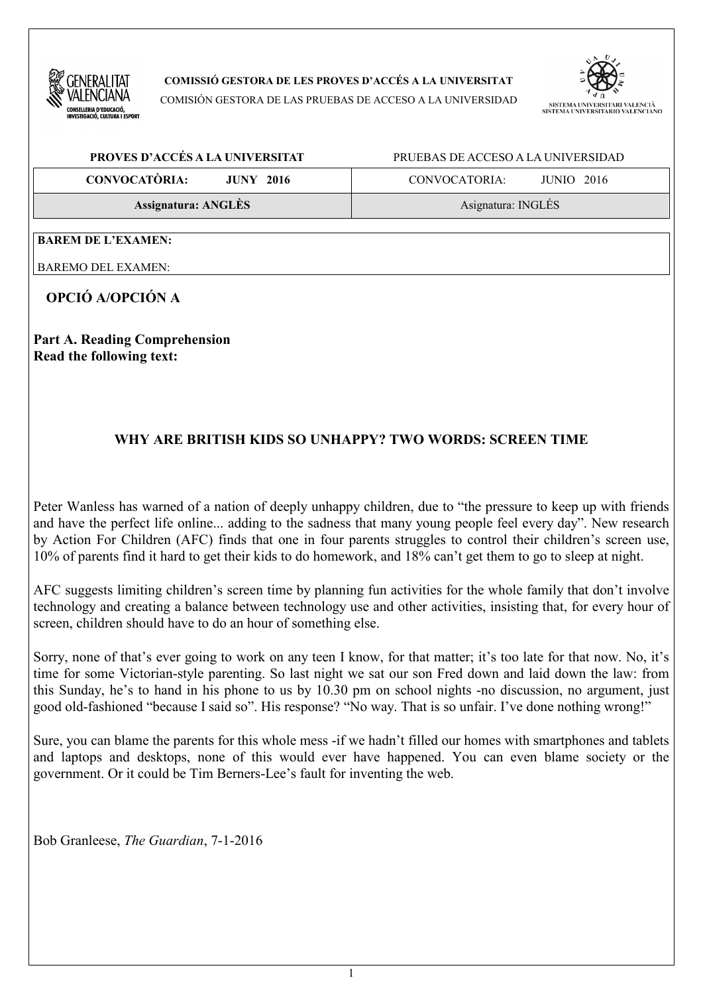

**COMISSIÓ GESTORA DE LES PROVES D'ACCÉS A LA UNIVERSITAT**

COMISIÓN GESTORA DE LAS PRUEBAS DE ACCESO A LA UNIVERSIDAD



| PROVES D'ACCÉS A LA UNIVERSITAT                      | PRUEBAS DE ACCESO A LA UNIVERSIDAD |  |
|------------------------------------------------------|------------------------------------|--|
| <b>CONVOCATÒRIA:</b><br>$JUNY$ 2016<br>CONVOCATORIA: | $JUNIO$ 2016                       |  |
| Assignatura: ANGLÈS                                  | Asignatura: INGLÉS                 |  |

**BAREM DE L'EXAMEN:**

BAREMO DEL EXAMEN:

**OPCIÓ A/OPCIÓN A**

**Part A. Reading Comprehension Read the following text:** 

## **WHY ARE BRITISH KIDS SO UNHAPPY? TWO WORDS: SCREEN TIME**

Peter Wanless has warned of a nation of deeply unhappy children, due to "the pressure to keep up with friends and have the perfect life online... adding to the sadness that many young people feel every day". New research by Action For Children (AFC) finds that one in four parents struggles to control their children's screen use, 10% of parents find it hard to get their kids to do homework, and 18% can't get them to go to sleep at night.

AFC suggests limiting children's screen time by planning fun activities for the whole family that don't involve technology and creating a balance between technology use and other activities, insisting that, for every hour of screen, children should have to do an hour of something else.

Sorry, none of that's ever going to work on any teen I know, for that matter; it's too late for that now. No, it's time for some Victorian-style parenting. So last night we sat our son Fred down and laid down the law: from this Sunday, he's to hand in his phone to us by 10.30 pm on school nights -no discussion, no argument, just good old-fashioned "because I said so". His response? "No way. That is so unfair. I've done nothing wrong!"

Sure, you can blame the parents for this whole mess -if we hadn't filled our homes with smartphones and tablets and laptops and desktops, none of this would ever have happened. You can even blame society or the government. Or it could be Tim Berners-Lee's fault for inventing the web.

Bob Granleese, *The Guardian*, 7-1-2016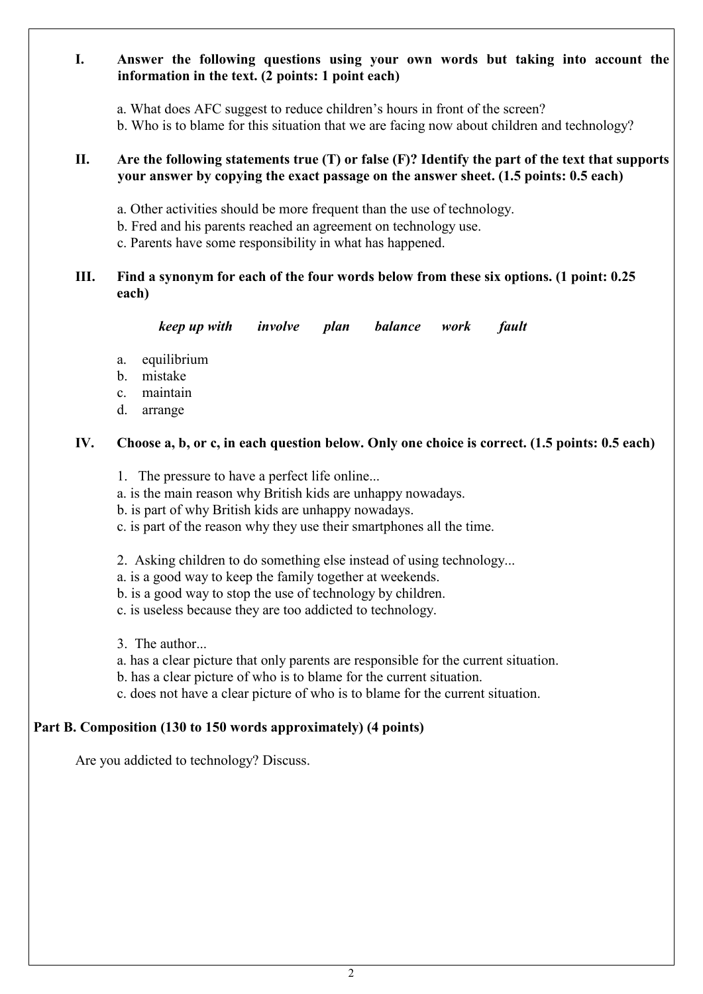### **I. Answer the following questions using your own words but taking into account the information in the text. (2 points: 1 point each)**

- a. What does AFC suggest to reduce children's hours in front of the screen?
- b. Who is to blame for this situation that we are facing now about children and technology?

#### **II. Are the following statements true (T) or false (F)? Identify the part of the text that supports your answer by copying the exact passage on the answer sheet. (1.5 points: 0.5 each)**

- a. Other activities should be more frequent than the use of technology.
- b. Fred and his parents reached an agreement on technology use.
- c. Parents have some responsibility in what has happened.

### **III. Find a synonym for each of the four words below from these six options. (1 point: 0.25 each)**

*keep up with involve plan balance work fault*

- a. equilibrium
- b. mistake
- c. maintain
- d. arrange

### **IV. Choose a, b, or c, in each question below. Only one choice is correct. (1.5 points: 0.5 each)**

- 1. The pressure to have a perfect life online...
- a. is the main reason why British kids are unhappy nowadays.
- b. is part of why British kids are unhappy nowadays.
- c. is part of the reason why they use their smartphones all the time.
- 2. Asking children to do something else instead of using technology...
- a. is a good way to keep the family together at weekends.
- b. is a good way to stop the use of technology by children.
- c. is useless because they are too addicted to technology.
- 3. The author...
- a. has a clear picture that only parents are responsible for the current situation.
- b. has a clear picture of who is to blame for the current situation.
- c. does not have a clear picture of who is to blame for the current situation.

### **Part B. Composition (130 to 150 words approximately) (4 points)**

Are you addicted to technology? Discuss.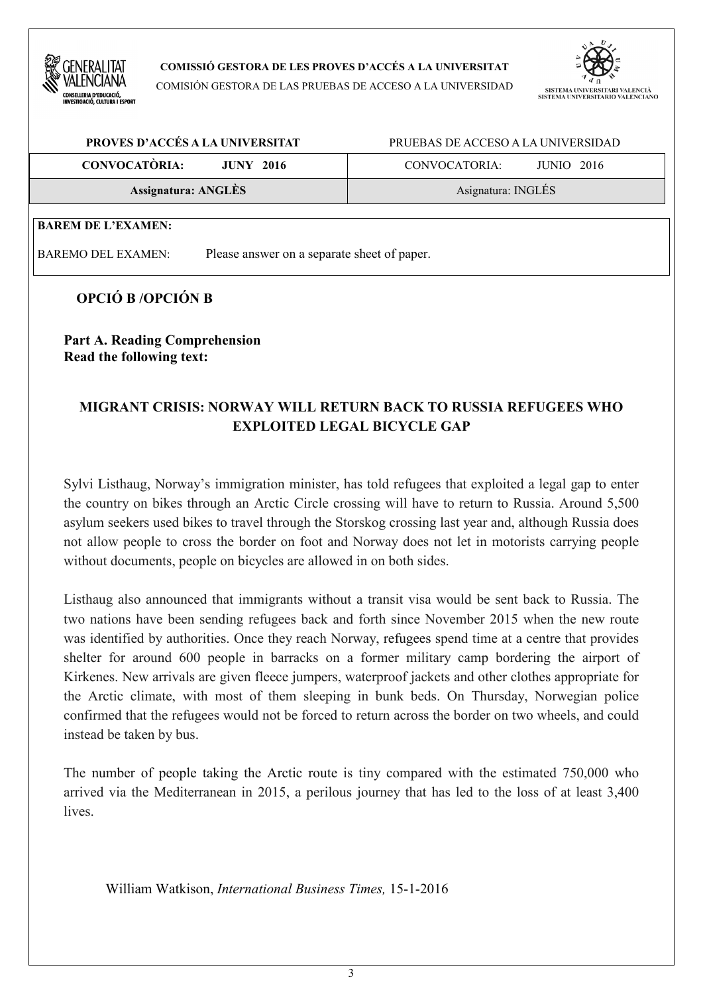

**COMISSIÓ GESTORA DE LES PROVES D'ACCÉS A LA UNIVERSITAT**

COMISIÓN GESTORA DE LAS PRUEBAS DE ACCESO A LA UNIVERSIDAD



| PROVES D'ACCÉS A LA UNIVERSITAT          | PRUEBAS DE ACCESO A LA UNIVERSIDAD |  |
|------------------------------------------|------------------------------------|--|
| <b>CONVOCATÒRIA:</b><br><b>JUNY 2016</b> | CONVOCATORIA:<br><b>JUNIO</b> 2016 |  |
| Assignatura: ANGLÈS                      | Asignatura: INGLÉS                 |  |
| <b>BAREM DE L'EXAMEN:</b>                |                                    |  |

BAREMO DEL EXAMEN: Please answer on a separate sheet of paper.

## **OPCIÓ B /OPCIÓN B**

**Part A. Reading Comprehension Read the following text:** 

# **MIGRANT CRISIS: NORWAY WILL RETURN BACK TO RUSSIA REFUGEES WHO EXPLOITED LEGAL BICYCLE GAP**

Sylvi Listhaug, Norway's immigration minister, has told refugees that exploited a legal gap to enter the country on bikes through an Arctic Circle crossing will have to return to Russia. Around 5,500 asylum seekers used bikes to travel through the Storskog crossing last year and, although Russia does not allow people to cross the border on foot and Norway does not let in motorists carrying people without documents, people on bicycles are allowed in on both sides.

Listhaug also announced that immigrants without a transit visa would be sent back to Russia. The two nations have been sending refugees back and forth since November 2015 when the new route was identified by authorities. Once they reach Norway, refugees spend time at a centre that provides shelter for around 600 people in barracks on a former military camp bordering the airport of Kirkenes. New arrivals are given fleece jumpers, waterproof jackets and other clothes appropriate for the Arctic climate, with most of them sleeping in bunk beds. On Thursday, Norwegian police confirmed that the refugees would not be forced to return across the border on two wheels, and could instead be taken by bus.

The number of people taking the Arctic route is tiny compared with the estimated 750,000 who arrived via the Mediterranean in 2015, a perilous journey that has led to the loss of at least 3,400 lives.

William Watkison, *International Business Times,* 15-1-2016